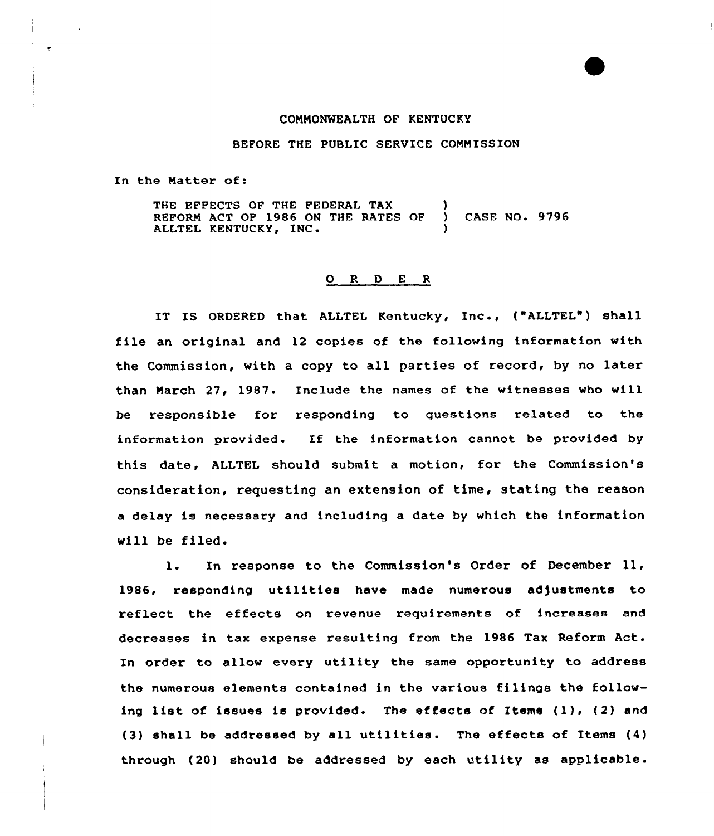## CONNONWEALTH OF KENTUCKY

## BEFORE THE PUBLIC SERVICE COMMISSION

In the Natter of:

THE EFFECTS OF THE FEDERAL TAX (a) REFORM ACT OF 1986 ON THE RATES OF ) CASE NO. 9796 ALLTEL KENTUCKY, INC.

## 0 R <sup>D</sup> E <sup>R</sup>

IT IS ORDERED that ALLTEL Kentucky, Inc., ("ALLTEL") shall file an original and <sup>12</sup> copies of the following information with the Commission, with <sup>a</sup> copy to all parties of record, by no later than March 27, 1987. Include the names of the witnesses who will be xesponsible for xesponding to questions related to the information provided. If the information cannot be provided by this date, ALLTEL should submit a motion, for the Commission's consideration, requesting an extension of time, stating the reason a delay is necessary and including a date by which the information will be filed.

l. In response to the Commission's Order of December ll, 1986, responding utilities have made numerous adjustments to reflect the effects on revenue requirements of increases and decreases in tax expense resulting from the 1986 Tax Reform Act. In order to allow every utility the same opportunity to address the numerous elements contained in the various filings the following list of issues is provided. The effects of Items  $(1)$ ,  $(2)$  and (3) shall be addressed by all utilities. The effects of Items (4) through (20) should be addressed by each utility as applicable.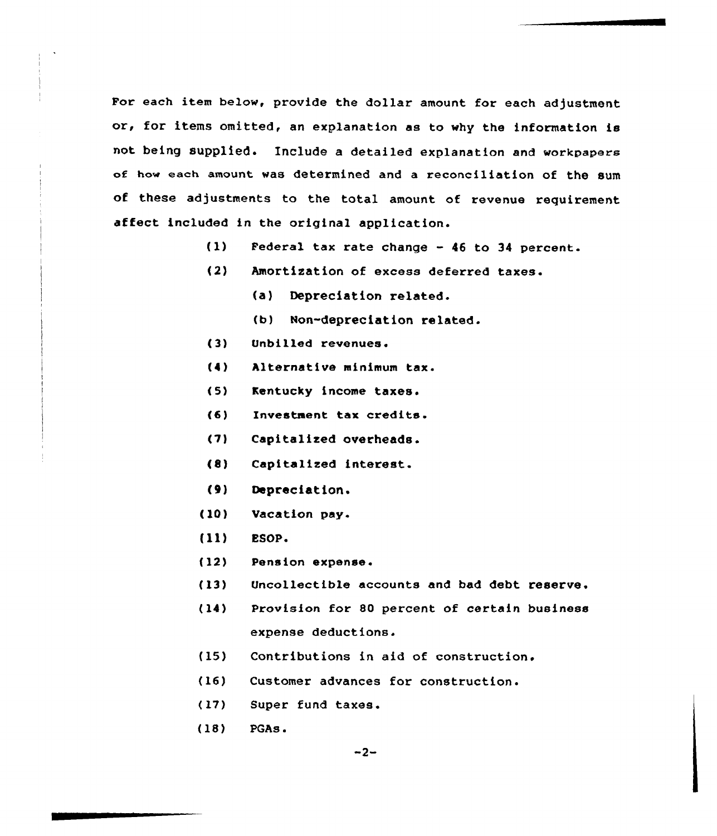For each item below, provide the dollar amount for each adjustment or, for items omitted, an explanation as to why the information is not being supplied. Include a detailed explanation and workpapere of how each amount was determined and a reconciliation of the sum of these adjustments to the total amount of revenue requirement affect included in the original application.

- (1) Federal tax rate change 46 to 34 percent.
- (2) Amortization of excess deferred taxes.
	- (a) Depreciation related.
	- (b) Non-depreciation related.
- $(3)$ Unbilled revenues.
- (4) Alternative minimum tax.
- $(5)$ Kentucky income taxes.
- $(6)$ Investment tax credits.
- (7) Capitalized overheads.
- (8) Capitalized interest.
- (0) Depreciation.
- (10) Vacation pay.
- (11) **ESOP.**
- (12) Pension expense.
- (13) Uncollectible accounts and bad debt reserve.
- (14) Provision for 80 percent of certain business expense deductions.
- (15) Contributions in aid of construction.
- (16) Customer advances for construction.
- (17) Super fund taxes.
- (18) PGAs.